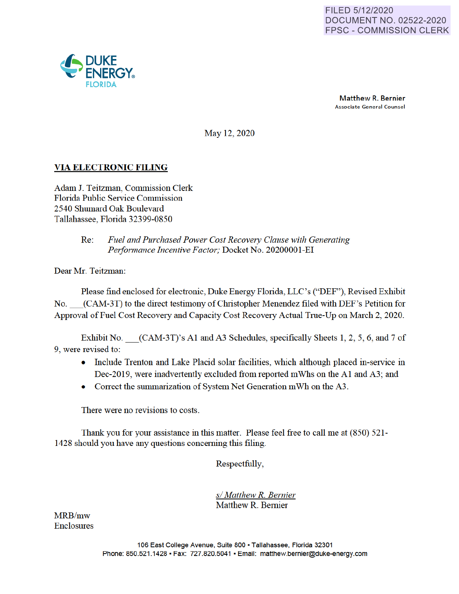Matthew R. Bernier Associate General Counsel

May 12, 2020

# **VIA ELECTRONIC FILING**

Adam J. Teitzman, Commission Clerk Florida Public Service Commission 2540 Shumard Oak Boulevard Tallahassee, Florida 32399-0850

## Re: *Fuel and Purchased Power Cost Recovery Clause with Generating Performance Incentive Factor;* Docket No. 20200001-EI

Dear Mr. Teitzman:

Please find enclosed for electronic, Duke Energy Florida LLC's ("DEF"), Revised Exhibit No. \_(CAM-3T) to the direct testimony of Christopher Menendez filed with DEF's Petition for Approval of Fuel Cost Recovery and Capacity Cost Recovery Actual True-Up on March 2, 2020.

Exhibit No. (CAM-3T)'s A1 and A3 Schedules, specifically Sheets 1, 2, 5, 6, and 7 of 9, were revised to:

- Include Trenton and Lake Placid solar facilities, which although placed in-service in Dec-2019, were inadvertently excluded from reported mWhs on the A1 and A3; and
- Correct the summarization of System Net Generation mWh on the A3.

There were no revisions to costs.

Thank you for your assistance in this matter. Please feel free to call me at (850) 521- 1428 should you have any questions concerning this filing.

Respectfully,

*s/ Matthew R. Bernier*  Matthew R. Bernier

MRB/mw Enclosures

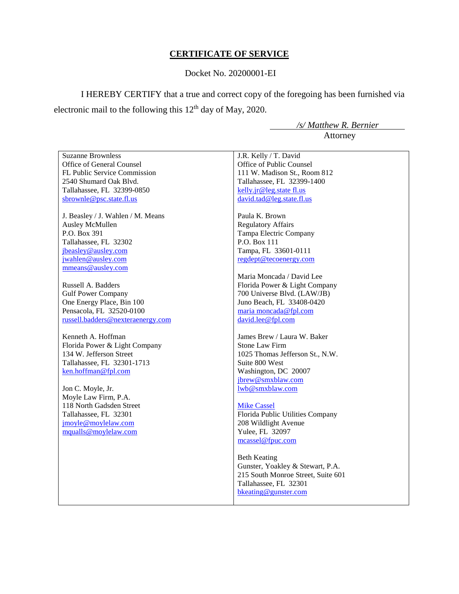## **CERTIFICATE OF SERVICE**

### Docket No. 20200001-EI

I HEREBY CERTIFY that a true and correct copy of the foregoing has been furnished via electronic mail to the following this  $12<sup>th</sup>$  day of May, 2020.

 */s/ Matthew R. Bernier* Attorney

Suzanne Brownless Office of General Counsel FL Public Service Commission 2540 Shumard Oak Blvd. Tallahassee, FL 32399-0850 sbrownle@psc.state.fl.us

J. Beasley / J. Wahlen / M. Means Ausley McMullen P.O. Box 391 Tallahassee, FL 32302 jbeasley@ausley.com jwahlen@ausley.com mmeans@ausley.com

Russell A. Badders Gulf Power Company One Energy Place, Bin 100 Pensacola, FL 32520-0100 russell.badders@nexteraenergy.com

Kenneth A. Hoffman Florida Power & Light Company 134 W. Jefferson Street Tallahassee, FL 32301-1713 ken.hoffman@fpl.com

Jon C. Moyle, Jr. Moyle Law Firm, P.A. 118 North Gadsden Street Tallahassee, FL 32301 jmoyle@moylelaw.com mqualls@moylelaw.com

J.R. Kelly / T. David Office of Public Counsel 111 W. Madison St., Room 812 Tallahassee, FL 32399-1400 kelly.jr@leg.state fl.us david.tad@leg.state.fl.us

Paula K. Brown Regulatory Affairs Tampa Electric Company P.O. Box 111 Tampa, FL 33601-0111 regdept@tecoenergy.com

Maria Moncada / David Lee Florida Power & Light Company 700 Universe Blvd. (LAW/JB) Juno Beach, FL 33408-0420 maria moncada@fpl.com david.lee@fpl.com

James Brew / Laura W. Baker Stone Law Firm 1025 Thomas Jefferson St., N.W. Suite 800 West Washington, DC 20007 jbrew@smxblaw.com lwb@smxblaw.com

Mike Cassel Florida Public Utilities Company 208 Wildlight Avenue Yulee, FL 32097 mcassel@fpuc.com

Beth Keating Gunster, Yoakley & Stewart, P.A. 215 South Monroe Street, Suite 601 Tallahassee, FL 32301 bkeating@gunster.com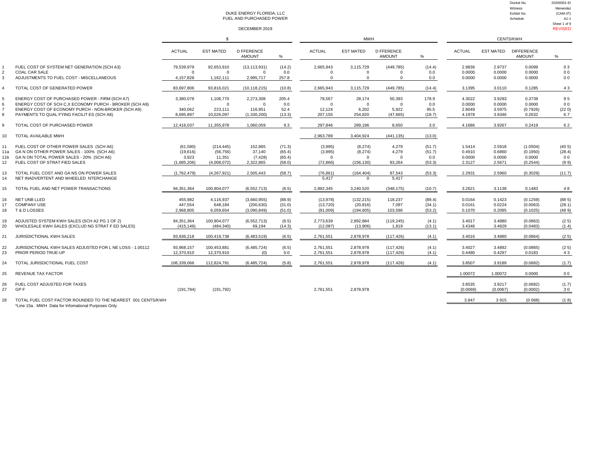|                |                                                                                                           |                          |                              | DUKE ENERGY FLORIDA. LLC<br>FUEL AND PURCHASED POWER<br>DECEMBER 2019 |                  |                          |                        |                                    |                  |                    |                    | Witness:<br>Exhibit No.<br>Schedule | Menendez<br>$(CAM-3T)$<br>A1-1<br>Sheet 1 of 9<br><b>REVISED</b> |
|----------------|-----------------------------------------------------------------------------------------------------------|--------------------------|------------------------------|-----------------------------------------------------------------------|------------------|--------------------------|------------------------|------------------------------------|------------------|--------------------|--------------------|-------------------------------------|------------------------------------------------------------------|
|                |                                                                                                           |                          | $\mathbb{S}$                 |                                                                       |                  |                          | <b>MWH</b>             |                                    |                  |                    |                    | CENTS/KWH                           |                                                                  |
|                |                                                                                                           | <b>ACTUAL</b>            | <b>EST MATED</b>             | <b>D FFERENCE</b><br><b>AMOUNT</b>                                    | %                | <b>ACTUAL</b>            | <b>EST MATED</b>       | <b>D FFERENCE</b><br><b>AMOUNT</b> | %                | <b>ACTUAL</b>      | <b>EST MATED</b>   | <b>DIFFERENCE</b><br><b>AMOUNT</b>  | %                                                                |
| 1<br>2         | FUEL COST OF SYSTEM NET GENERATION (SCH A3)<br><b>COAL CAR SALE</b>                                       | 79,539,979<br>$\Omega$   | 92,653,910<br>$\overline{0}$ | (13, 113, 931)<br>$\overline{0}$                                      | (14.2)<br>0.0    | 2,665,943<br>$\mathbf 0$ | 3,115,729<br>$\Omega$  | (449, 785)<br>$^{\circ}$           | (14.4)<br>0.0    | 2.9836<br>0.0000   | 2.9737<br>0.0000   | 0.0099<br>0.0000                    | 03<br>0 <sub>0</sub>                                             |
| 3              | ADJUSTMENTS TO FUEL COST - MISCELLANEOUS                                                                  | 4,157,828                | 1,162,111                    | 2,995,717                                                             | 257.8            | $\mathbf 0$              | $\Omega$               | $\mathbf 0$                        | 0.0              | 0.0000             | 0.0000             | 0.0000                              | 0 <sub>0</sub>                                                   |
| $\overline{4}$ | TOTAL COST OF GENERATED POWER                                                                             | 83,697,806               | 93,816,021                   | (10, 118, 215)                                                        | (10.8)           | 2,665,943                | 3,115,729              | (449, 785)                         | (14.4)           | 3.1395             | 3.0110             | 0.1285                              | 43                                                               |
| 5<br>6         | ENERGY COST OF PURCHASED POWER - FIRM (SCH A7)<br>ENERGY COST OF SCH C, X ECONOMY PURCH - BROKER (SCH A9) | 3,380,078                | 1,106,770<br>$\mathbf{0}$    | 2,273,308<br>$\Omega$                                                 | 205.4<br>0.0     | 78,567<br>$\mathbf{0}$   | 28,174<br>$\Omega$     | 50,393<br>$\mathbf 0$              | 178.9<br>0.0     | 4.3022<br>0.0000   | 3.9283<br>0.0000   | 0.3739<br>0.0000                    | 95<br>0 <sub>0</sub>                                             |
| $\overline{7}$ | ENERGY COST OF ECONOMY PURCH - NON-BROKER (SCH A9)                                                        | 340,062                  | 223,111                      | 116,951                                                               | 52.4             | 12,124                   | 6,202                  | 5,922                              | 95.5             | 2.8049             | 3.5975             | (0.7926)                            | (220)                                                            |
| 8              | PAYMENTS TO QUAL FYING FACILIT ES (SCH A8)                                                                | 8,695,897                | 10,026,097                   | (1,330,200)                                                           | (13.3)           | 207,155                  | 254,820                | (47, 665)                          | (18.7)           | 4.1978             | 3.9346             | 0.2632                              | 6.7                                                              |
| 9              | TOTAL COST OF PURCHASED POWER                                                                             | 12,416,037               | 11,355,978                   | 1,060,059                                                             | 9.3              | 297,846                  | 289,196                | 8,650                              | 3.0              | 4.1686             | 3.9267             | 0.2419                              | 62                                                               |
| 10             | TOTAL AVAILABLE MWH                                                                                       |                          |                              |                                                                       |                  | 2,963,789                | 3,404,924              | (441, 135)                         | (13.0)           |                    |                    |                                     |                                                                  |
| 11<br>11a      | FUEL COST OF OTHER POWER SALES (SCH A6)<br>GA N ON OTHER POWER SALES - 100% (SCH A6)                      | (61, 580)<br>(19,616)    | (214, 445)<br>(56, 756)      | 152,865<br>37,140                                                     | (71.3)<br>(65.4) | (3,995)<br>(3,995)       | (8, 274)<br>(8, 274)   | 4,279<br>4,279                     | (51.7)<br>(51.7) | 1.5414<br>0.4910   | 2.5918<br>0.6860   | (1.0504)<br>(0.1950)                | (40.5)<br>(28.4)                                                 |
| 11b<br>12      | GA N ON TOTAL POWER SALES - 20% (SCH A6)<br>FUEL COST OF STRAT FIED SALES                                 | 3,923<br>(1,685,206)     | 11,351<br>(4,008,072)        | (7, 428)<br>2,322,865                                                 | (65.4)<br>(58.0) | $\Omega$<br>(72, 866)    | $\Omega$<br>(156, 130) | $\Omega$<br>83,264                 | 0.0<br>(53.3)    | 0.0000<br>2.3127   | 0.0000<br>2.5671   | 0.0000<br>(0.2544)                  | 0 <sub>0</sub><br>(99)                                           |
| 13             | TOTAL FUEL COST AND GA NS ON POWER SALES                                                                  | (1,762,479)              | (4, 267, 921)                | 2,505,443                                                             | (58.7)           | (76, 861)                | (164, 404)             | 87,543                             | (53.3)           | 2.2931             | 2.5960             | (0.3029)                            | (11.7)                                                           |
| 14             | NET INADVERTENT AND WHEELED NTERCHANGE                                                                    |                          |                              |                                                                       |                  | 5.417                    | $\Omega$               | 5.417                              |                  |                    |                    |                                     |                                                                  |
| 15             | TOTAL FUEL AND NET POWER TRANSACTIONS                                                                     | 94.351.364               | 100.904.077                  | (6, 552, 713)                                                         | (6.5)            | 2.892.345                | 3.240.520              | (348, 175)                         | (10.7)           | 3.2621             | 3.1138             | 0.1483                              | 48                                                               |
| 16             | NET UNB LLED                                                                                              | 455.982                  | 4,116,937                    | (3,660,955)                                                           | (88.9)           | (13, 978)                | (132, 215)             | 118,237                            | (89.4)           | 0.0164             | 0.1423             | (0.1259)                            | (885)                                                            |
| 17<br>18       | <b>COMPANY USE</b><br><b>T&amp;DLOSSES</b>                                                                | 447,554<br>2.968.805     | 648,184<br>6,059,654         | (200, 630)<br>(3,090,849)                                             | (31.0)<br>(51.0) | (13, 720)<br>(91,009)    | (20, 816)<br>(194.605) | 7,097<br>103.596                   | (34.1)<br>(53.2) | 0.0161<br>0.1070   | 0.0224<br>0.2095   | (0.0063)<br>(0.1025)                | (28.1)<br>(489)                                                  |
| 19<br>20       | ADJUSTED SYSTEM KWH SALES (SCH A2 PG 1 OF 2)<br>WHOLESALE KWH SALES (EXCLUD NG STRAT F ED SALES)          | 94,351,364<br>(415, 146) | 100,904,077<br>(484, 340)    | (6, 552, 713)<br>69,194                                               | (6.5)<br>(14.3)  | 2,773,639<br>(12,087)    | 2,892,884<br>(13,906)  | (119, 245)<br>1,819                | (4.1)<br>(13.1)  | 3.4017<br>3.4346   | 3.4880<br>3.4829   | (0.0863)<br>(0.0483)                | (25)<br>(1.4)                                                    |
| 21             | <b>JURISDICTIONAL KWH SALES</b>                                                                           | 93,936,218               | 100,419,738                  | (6,483,519)                                                           | (6.5)            | 2,761,551                | 2,878,978              | (117, 426)                         | (4.1)            | 3.4016             | 3.4880             | (0.0864)                            | (25)                                                             |
| 22<br>23       | JURISDICTIONAL KWH SALES ADJUSTED FOR L NE LOSS - 1.00112<br>PRIOR PERIOD TRUE-UP                         | 93,968,157<br>12,370,910 | 100,453,881<br>12,370,910    | (6,485,724)<br>(0)                                                    | (6.5)<br>0.0     | 2,761,551<br>2,761,551   | 2,878,978<br>2,878,978 | (117, 426)<br>(117, 426)           | (4.1)<br>(4.1)   | 3.4027<br>0.4480   | 3.4892<br>0.4297   | (0.0865)<br>0.0183                  | (2.5)<br>43                                                      |
| 24             | TOTAL JURISDICTIONAL FUEL COST                                                                            | 106.339.066              | 112,824,791                  | (6,485,724)                                                           | (5.8)            | 2,761,551                | 2,878,978              | (117, 426)                         | (4.1)            | 3.8507             | 3.9189             | (0.0682)                            | (1.7)                                                            |
| 25             | <b>REVENUE TAX FACTOR</b>                                                                                 |                          |                              |                                                                       |                  |                          |                        |                                    |                  | 1.00072            | 1.00072            | 0.0000                              | 0 <sub>0</sub>                                                   |
| 26<br>27       | FUEL COST ADJUSTED FOR TAXES<br>GP F                                                                      | (191, 794)               | (191, 792)                   |                                                                       |                  | 2,761,551                | 2,878,978              |                                    |                  | 3.8535<br>(0.0069) | 3.9217<br>(0.0067) | (0.0682)<br>(0.0002)                | (1.7)<br>30                                                      |
| 28             | TOTAL FUEL COST FACTOR ROUNDED TO THE NEAREST 001 CENTS/KWH                                               |                          |                              |                                                                       |                  |                          |                        |                                    |                  | 3.847              | 3915               | (0.068)                             | (18)                                                             |

Docket No. 20200001-EI

\*Line 15a. MWH Data for Infomational Purposes Only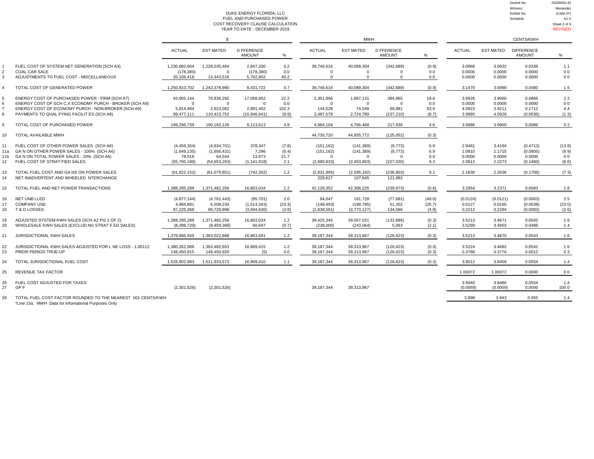Docket No. 20200001-EI Witness: Menendez<br>
Exhibit No. (CAM-3T)

#### DUKE ENERGY FLORIDA, LLC Exhibit No. (CAM-3T) FUEL AND PURCHASED POWER THE SCHEDULATION CONTROL AND SCHEDULE AND PURCHASED POWER THE SCHEDULE AND PURCHASED POWER<br>ST RECOVERY CLAUSE CALCULATION Sheet 2 of 9 CONSTRECOVERY CLAUSE CALCULATION Sheet 2 of 9<br>COST RECOVERY CLAUSE CALCULATION Sheet 2019<br>YEAR TO DATE - DECEMBER 2019 YEAR TO DATE - DECEMBER 2019

|                                    |                                                                                                                                                                                                              | -S                                                   |                                                        |                                                          |                               |                                                     | <b>CENTS/KWH</b>                                    |                                              |                              |                                      |                                      |                                            |                                         |
|------------------------------------|--------------------------------------------------------------------------------------------------------------------------------------------------------------------------------------------------------------|------------------------------------------------------|--------------------------------------------------------|----------------------------------------------------------|-------------------------------|-----------------------------------------------------|-----------------------------------------------------|----------------------------------------------|------------------------------|--------------------------------------|--------------------------------------|--------------------------------------------|-----------------------------------------|
|                                    |                                                                                                                                                                                                              | <b>ACTUAL</b>                                        | <b>EST MATED</b>                                       | <b>D FFERENCE</b><br><b>AMOUNT</b>                       | %                             | <b>ACTUAL</b>                                       | <b>EST MATED</b>                                    | <b>D FFERENCE</b><br><b>AMOUNT</b>           | %                            | <b>ACTUAL</b>                        | <b>EST MATED</b>                     | <b>DIFFERENCE</b><br><b>AMOUNT</b>         | %                                       |
| 3                                  | FUEL COST OF SYSTEM NET GENERATION (SCH A3)<br><b>COAL CAR SALE</b><br>ADJUSTMENTS TO FUEL COST - MISCELLANEOUS                                                                                              | 1,230,882,664<br>(178, 380)<br>20,106,418            | 1,228,035,464<br>$\Omega$<br>14,343,516                | 2,847,200<br>(178, 380)<br>5,762,902                     | 0.2<br>0.0<br>40.2            | 39,746,616<br>$\Omega$<br>$\Omega$                  | 40,089,304<br>$\Omega$<br>$\Omega$                  | (342, 689)<br>$\Omega$<br>$\Omega$           | (0.9)<br>0.0<br>0.0          | 3.0968<br>0.0000<br>0.0000           | 3.0632<br>0.0000<br>0.0000           | 0.0336<br>0.0000<br>0.0000                 | 1.1<br>0 <sub>0</sub><br>0 <sub>0</sub> |
|                                    | TOTAL COST OF GENERATED POWER                                                                                                                                                                                | 1,250,810,702                                        | 1,242,378,980                                          | 8,431,722                                                | 0.7                           | 39,746,616                                          | 40,089,304                                          | (342, 689)                                   | (0.9)                        | 3.1470                               | 3.0990                               | 0.0480                                     | 16                                      |
|                                    | ENERGY COST OF PURCHASED POWER - FIRM (SCH A7)<br>ENERGY COST OF SCH C.X ECONOMY PURCH - BROKER (SCH A9)<br>ENERGY COST OF ECONOMY PURCH - NON-BROKER (SCH A9)<br>PAYMENTS TO QUAL FYING FACILIT ES (SCH A8) | 93,905,144<br>$\Omega$<br>5.914.484<br>99.477.111    | 76,836,292<br>$\mathbf 0$<br>2.923.082<br>110,423,752  | 17,068,852<br>$\mathbf 0$<br>2.991.402<br>(10, 946, 641) | 22.2<br>0.0<br>102.3<br>(9.9) | 2,351,996<br>$\Omega$<br>144.528<br>2,487,579       | 1,967,131<br>$\Omega$<br>74.548<br>2,724,789        | 384,865<br>$\Omega$<br>69.981<br>(237, 210)  | 19.6<br>0.0<br>93.9<br>(8.7) | 3.9926<br>0.0000<br>4.0923<br>3.9990 | 3.9060<br>0.0000<br>3.9211<br>4.0526 | 0.0866<br>0.0000<br>0.1712<br>(0.0536)     | 22<br>0 <sub>0</sub><br>4.4<br>(13)     |
| 9                                  | TOTAL COST OF PURCHASED POWER                                                                                                                                                                                | 199,296,739                                          | 190,183,126                                            | 9,113,613                                                | 4.8                           | 4,984,104                                           | 4,766,468                                           | 217,636                                      | 4.6                          | 3.9986                               | 3.9900                               | 0.0086                                     | 02                                      |
| 10                                 | TOTAL AVAILABLE MWH                                                                                                                                                                                          |                                                      |                                                        |                                                          |                               | 44.730.720                                          | 44.855.772                                          | (125.052)                                    | (0.3)                        |                                      |                                      |                                            |                                         |
| 11<br>11a<br>11 <sub>b</sub><br>12 | FUEL COST OF OTHER POWER SALES (SCH A6)<br>GA N ON OTHER POWER SALES - 100% (SCH A6)<br>GA N ON TOTAL POWER SALES - 20% (SCH A6)<br>FUEL COST OF STRAT FIED SALES                                            | (4,456,354)<br>(1,649,135)<br>78.518<br>(55.795.180) | (4,834,701)<br>(1,656,431)<br>64.544<br>(54, 653, 263) | 378,347<br>7,296<br>13.973<br>(1, 141, 918)              | (7.8)<br>(0.4)<br>21.7<br>2.1 | (151, 162)<br>(151, 162)<br>$\Omega$<br>(2,680,833) | (141, 389)<br>(141, 389)<br>$\Omega$<br>(2,453,803) | (9,773)<br>(9,773)<br>$\Omega$<br>(227, 030) | 6.9<br>6.9<br>0.0<br>9.3     | 2.9481<br>1.0910<br>0.0000<br>2.0813 | 3.4194<br>1.1715<br>0.0000<br>2.2273 | (0.4713)<br>(0.0805)<br>0.0000<br>(0.1460) | (138)<br>(69)<br>0 <sub>0</sub><br>(66) |
| 13<br>14                           | TOTAL FUEL COST AND GA NS ON POWER SALES<br>NET INADVERTENT AND WHEELED NTERCHANGE                                                                                                                           | (61, 822, 152)                                       | (61,079,851)                                           | (742, 302)                                               | 1.2                           | (2,831,995)<br>229.627                              | (2,595,192)<br>107.645                              | (236, 803)<br>121.982                        | 9.1                          | 2.1830                               | 2.3536                               | (0.1706)                                   | (73)                                    |
| 15                                 | TOTAL FUEL AND NET POWER TRANSACTIONS                                                                                                                                                                        | 1,388,285,289                                        | 1,371,482,256                                          | 16,803,034                                               | 1.2                           | 42,128,352                                          | 42,368,225                                          | (239, 873)                                   | (0.6)                        | 3.2954                               | 3.2371                               | 0.0583                                     | 18                                      |
| 16<br>17<br>18                     | NET UNB LLED<br><b>COMPANY USE</b><br><b>T&amp;DLOSSES</b>                                                                                                                                                   | (4,877,144)<br>4.994.891<br>87.225.368               | (4,781,443)<br>6,508,234<br>90,729,998                 | (95, 701)<br>(1,513,343)<br>(3,504,630)                  | 2.0<br>(23.3)<br>(3.9)        | 84.047<br>(148, 493)<br>(2,638,561)                 | 161,728<br>(199, 795)<br>(2,773,127)                | (77, 681)<br>51,302<br>134,566               | (48.0)<br>(25.7)<br>(4.9)    | (0.0124)<br>0.0127<br>0.2212         | (0.0121)<br>0.0165<br>0.2294         | (0.0003)<br>(0.0038)<br>(0.0082)           | 25<br>(230)<br>(36)                     |
| 19<br>20                           | ADJUSTED SYSTEM KWH SALES (SCH A2 PG 1 OF 2)<br>WHOLESALE KWH SALES (EXCLUD NG STRAT F ED SALES)                                                                                                             | 1.388.285.289<br>(8.398.720)                         | 1,371,482,256<br>(8,459,368)                           | 16,803,034<br>60,647                                     | 1.2<br>(0.7)                  | 39,425,345<br>(238.000)                             | 39.557.031<br>(243,064)                             | (131, 686)<br>5.063                          | (0.3)<br>(2.1)               | 3.5213<br>3.5289                     | 3.4671<br>3.4803                     | 0.0542<br>0.0486                           | 16<br>1.4                               |
| 21                                 | JURISDICTIONAL KWH SALES                                                                                                                                                                                     | 1,379,886,569                                        | 1,363,022,888                                          | 16,863,681                                               | $1.2$                         | 39,187,344                                          | 39,313,967                                          | (126, 623)                                   | (0.3)                        | 3.5213                               | 3.4670                               | 0.0543                                     | 16                                      |
| 22<br>23                           | JURISDICTIONAL KWH SALES ADJUSTED FOR L NE LOSS - 1.00112<br>PRIOR PERIOD TRUE-UP                                                                                                                            | 1,380,352,068<br>148.450.915                         | 1,363,482,653<br>148.450.920                           | 16,869,415<br>(5)                                        | 1.2<br>0.0                    | 39,187,344<br>39.187.344                            | 39,313,967<br>39,313,967                            | (126, 623)<br>(126, 623)                     | (0.3)<br>(0.3)               | 3.5224<br>0.3788                     | 3.4682<br>0.3776                     | 0.0542<br>0.0012                           | 16<br>03                                |
| 24                                 | TOTAL JURISDICTIONAL FUEL COST                                                                                                                                                                               | 1,528,802,983                                        | 1,511,933,573                                          | 16,869,410                                               | 1.1                           | 39,187,344                                          | 39,313,967                                          | (126, 623)                                   | (0.3)                        | 3.9012                               | 3.8458                               | 0.0554                                     | 1.4                                     |
| 25                                 | <b>REVENUE TAX FACTOR</b>                                                                                                                                                                                    |                                                      |                                                        |                                                          |                               |                                                     |                                                     |                                              |                              | 1.00072                              | 1.00072                              | 0.0000                                     | 0 <sub>0</sub>                          |
| 26<br>27                           | FUEL COST ADJUSTED FOR TAXES<br>GP F                                                                                                                                                                         | (2,301,526)                                          | (2,301,526)                                            |                                                          |                               | 39,187,344                                          | 39,313,967                                          |                                              |                              | 3.9040<br>(0.0059)                   | 3.8486<br>(0.0059)                   | 0.0554<br>0.0000                           | 1.4<br>1000                             |
| 28                                 | TOTAL FUEL COST FACTOR ROUNDED TO THE NEAREST 001 CENTS/KWH                                                                                                                                                  |                                                      |                                                        |                                                          |                               |                                                     |                                                     |                                              |                              | 3.898                                | 3843                                 | 0 0 5 5                                    | 1.4                                     |

\*Line 15a. MWH Data for Infomational Purposes Only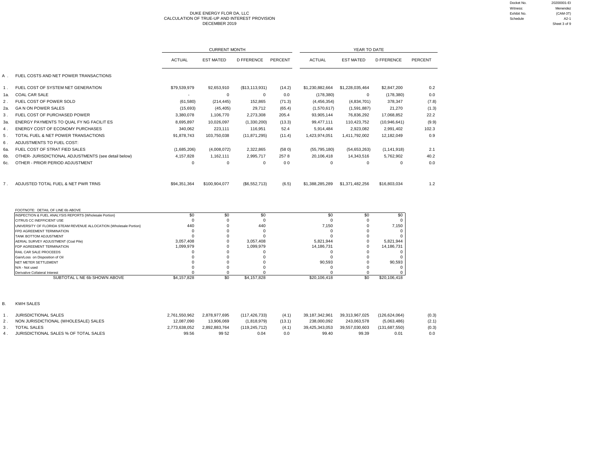#### DUKE ENERGY FLOR DA, LLC Exhibit No. (CAM-3T) CALCULATION OF TRUE-UP AND INTEREST PROVISION Schedule A2-1 DECEMBER 2019 Sheet 3 of 9

|       |                                                                                                 |                          | <b>CURRENT MONTH</b> |                   |                | YEAR TO DATE      |                  |                      |         |  |  |  |
|-------|-------------------------------------------------------------------------------------------------|--------------------------|----------------------|-------------------|----------------|-------------------|------------------|----------------------|---------|--|--|--|
|       |                                                                                                 | <b>ACTUAL</b>            | <b>EST MATED</b>     | <b>D FFERENCE</b> | PERCENT        | <b>ACTUAL</b>     | <b>EST MATED</b> | <b>D FFERENCE</b>    | PERCENT |  |  |  |
| А.    | FUEL COSTS AND NET POWER TRANSACTIONS                                                           |                          |                      |                   |                |                   |                  |                      |         |  |  |  |
| 1.    | FUEL COST OF SYSTEM NET GENERATION                                                              | \$79,539,979             | 92,653,910           | (\$13,113,931)    | (14.2)         | \$1,230,882,664   | \$1,228,035,464  | \$2,847,200          | 0.2     |  |  |  |
| 1a.   | <b>COAL CAR SALE</b>                                                                            | $\overline{\phantom{a}}$ | $\mathbf 0$          | $\mathbf{0}$      | 0.0            | (178, 380)        | $\mathbf 0$      | (178, 380)           | 0.0     |  |  |  |
| 2.    | FUEL COST OF POWER SOLD                                                                         | (61, 580)                | (214, 445)           | 152,865           | (71.3)         | (4,456,354)       | (4,834,701)      | 378.347              | (7.8)   |  |  |  |
| 2a.   | <b>GA N ON POWER SALES</b>                                                                      | (15,693)                 | (45, 405)            | 29,712            | (65.4)         | (1,570,617)       | (1,591,887)      | 21,270               | (1.3)   |  |  |  |
| $3$ . | FUEL COST OF PURCHASED POWER                                                                    | 3,380,078                | 1,106,770            | 2,273,308         | 205.4          | 93,905,144        | 76,836,292       | 17,068,852           | 22.2    |  |  |  |
| За.   | ENERGY PAYMENTS TO QUAL FY NG FACILIT ES                                                        | 8,695,897                | 10,026,097           | (1,330,200)       | (13.3)         | 99,477,111        | 110,423,752      | (10,946,641)         | (9.9)   |  |  |  |
| 4.    | ENERGY COST OF ECONOMY PURCHASES                                                                | 340,062                  | 223,111              | 116,951           | 52.4           | 5,914,484         | 2,923,082        | 2,991,402            | 102.3   |  |  |  |
|       | TOTAL FUEL & NET POWER TRANSACTIONS                                                             |                          |                      |                   |                |                   |                  |                      |         |  |  |  |
| 5.    |                                                                                                 | 91,878,743               | 103,750,038          | (11, 871, 295)    | (11.4)         | 1,423,974,051     | 1,411,792,002    | 12,182,049           | 0.9     |  |  |  |
| 6.    | ADJUSTMENTS TO FUEL COST:                                                                       |                          |                      |                   |                |                   |                  |                      |         |  |  |  |
| 6а.   | FUEL COST OF STRAT FIED SALES                                                                   | (1,685,206)              | (4,008,072)          | 2,322,865         | (580)          | (55, 795, 180)    | (54, 653, 263)   | (1, 141, 918)        | 2.1     |  |  |  |
| 6b.   | OTHER- JURISDICTIONAL ADJUSTMENTS (see detail below)                                            | 4,157,828                | 1,162,111            | 2,995,717         | 2578           | 20,106,418        | 14,343,516       | 5,762,902            | 40.2    |  |  |  |
| 6c.   | OTHER - PRIOR PERIOD ADJUSTMENT                                                                 | $\Omega$                 | $\Omega$             | $\mathbf 0$       | 0 <sub>0</sub> | $\mathbf 0$       | 0                | $\Omega$             | 0.0     |  |  |  |
| 7.    | ADJUSTED TOTAL FUEL & NET PWR TRNS                                                              | \$94.351.364             | \$100,904,077        | (\$6,552,713)     | (6.5)          | \$1,388,285,289   | \$1,371,482,256  | \$16,803,034         | 1.2     |  |  |  |
|       | FOOTNOTE: DETAIL OF LINE 6b ABOVE                                                               |                          |                      |                   |                |                   |                  |                      |         |  |  |  |
|       | INSPECTION & FUEL ANALYSIS REPORTS {Wholesale Portion}                                          | \$0                      | \$0                  | \$0               |                | \$0               | \$0              | \$0                  |         |  |  |  |
|       | CITRUS CC INEFFICIENT USE                                                                       | $\Omega$                 | $\Omega$             | $\mathbf 0$       |                | $\Omega$          | $\Omega$         | $\Omega$             |         |  |  |  |
|       | UNIVERSITY OF FLORIDA STEAM REVENUE ALLOCATION {Wholesale Portion}<br>FPD AGREEMENT TERMINATION | 440<br>$\Omega$          | $\Omega$<br>$\Omega$ | 440<br>$\Omega$   |                | 7,150<br>$\Omega$ | 0<br>$\Omega$    | 7,150<br>$\mathbf 0$ |         |  |  |  |
|       | TANK BOTTOM ADJUSTMENT                                                                          | $\Omega$                 | $\Omega$             | $\Omega$          |                | $\Omega$          | $\Omega$         | $\Omega$             |         |  |  |  |
|       | AERIAL SURVEY ADJUSTMENT (Coal Pile)                                                            | 3,057,408                | O                    | 3,057,408         |                | 5,821,944         | $\Omega$         | 5,821,944            |         |  |  |  |
|       | FDP AGREEMENT TERMINATION                                                                       | 1,099,979                | O                    | 1,099,979         |                | 14,186,731        | O                | 14,186,731           |         |  |  |  |
|       | RAIL CAR SALE PROCEEDS                                                                          | $\Omega$                 | O                    | 0                 |                | $\Omega$          | $\Omega$         | $\Omega$             |         |  |  |  |
|       | Gain/Loss on Disposition of Oil                                                                 | $\Omega$                 | $\Omega$             | $\Omega$          |                | $\Omega$          | $\Omega$         | $\Omega$             |         |  |  |  |

| <b>Udillicuss UII Dispusitiui UI UII</b> |             |             |              |     |                   |
|------------------------------------------|-------------|-------------|--------------|-----|-------------------|
| NET METER SETTLEMENT                     |             |             | 90.593       |     | 90,593            |
| N/A - Not used                           |             |             |              |     |                   |
| Derivative Collateral Interest           |             |             |              |     |                   |
| SUBTOTAL L NE 6b SHOWN ABOVE             | \$4.157.828 | \$4,157,828 | \$20,106,418 | \$0 | ,106,418<br>\$20. |
|                                          |             |             |              |     |                   |

B. KWH SALES

| <b>JURISDICTIONAL SALES</b>           | 2.761.550.962 | 2.878.977.695 | (117.426.733) | (4.1)  | 39.187.342.961 | 39.313.967.025 | (126.624.064) | (0.3) |
|---------------------------------------|---------------|---------------|---------------|--------|----------------|----------------|---------------|-------|
| NON JURISDICTIONAL (WHOLESALE) SALES  | 12.087.090    | 13.906.069    | (1.818.979)   | (13.1) | 238.000.092    | 243.063.578    | (5,063,486)   | (2.1) |
| <b>TOTAL SALES</b>                    | 2.773.638.052 | 2.892.883.764 | (119.245.712) | (4.1)  | 39,425,343,053 | 39.557.030.603 | (131.687.550) | (0.3) |
| JURISDICTIONAL SALES % OF TOTAL SALES | 99.56         | 99 52         | 0.04          | 0.0    | 99.40          | 99.39          | 0.01          | 0.0   |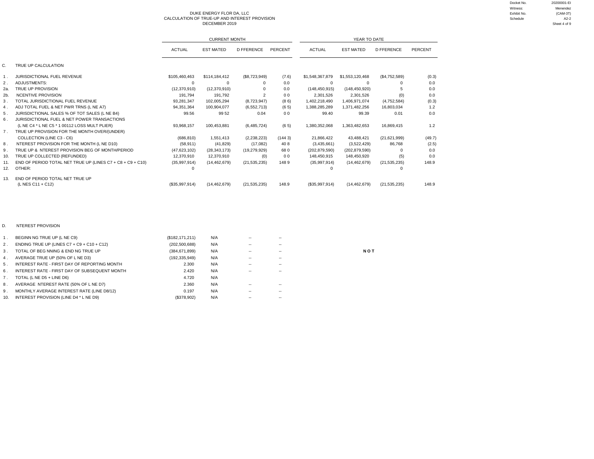DUKE ENERGY FLOR DA, LLC Exhibit No. (CAM-3T) CALCULATION OF TRUE-UP AND INTEREST PROVISION<br>DECEMBER 2019 00:4 2-2<br>Sheet 4 of 9 DECEMBER 2019 Sheet 4 of 9

|        |                                                            |                | <b>CURRENT MONTH</b> |                   |                | YEAR TO DATE    |                  |                   |                |  |  |  |
|--------|------------------------------------------------------------|----------------|----------------------|-------------------|----------------|-----------------|------------------|-------------------|----------------|--|--|--|
|        |                                                            | <b>ACTUAL</b>  | <b>EST MATED</b>     | <b>D FFERENCE</b> | PERCENT        | <b>ACTUAL</b>   | <b>EST MATED</b> | <b>D FFERENCE</b> | <b>PERCENT</b> |  |  |  |
| C.     | TRUE UP CALCULATION                                        |                |                      |                   |                |                 |                  |                   |                |  |  |  |
| 1.     | JURISDICTIONAL FUEL REVENUE                                | \$105,460,463  | \$114,184,412        | (\$8,723,949)     | (7.6)          | \$1,548,367,879 | \$1,553,120,468  | (\$4,752,589)     | (0.3)          |  |  |  |
| 2.     | ADJUSTMENTS:                                               | $\Omega$       | 0                    | O                 | 0.0            | 0               | $\Omega$         |                   | 0.0            |  |  |  |
| 2a.    | TRUE UP PROVISION                                          | (12, 370, 910) | (12, 370, 910)       |                   | 0.0            | (148, 450, 915) | (148, 450, 920)  |                   | 0.0            |  |  |  |
| $2b$ . | <b>NCENTIVE PROVISION</b>                                  | 191.794        | 191.792              | $\mathcal{P}$     | 0 <sub>0</sub> | 2,301,526       | 2,301,526        | (0)               | 0.0            |  |  |  |
| 3.     | TOTAL JURISDICTIONAL FUEL REVENUE                          | 93,281,347     | 102,005,294          | (8,723,947)       | (86)           | 1,402,218,490   | 1,406,971,074    | (4,752,584)       | (0.3)          |  |  |  |
| 4.     | ADJ TOTAL FUEL & NET PWR TRNS (L NE A7)                    | 94,351,364     | 100,904,077          | (6, 552, 713)     | (65)           | 1,388,285,289   | 1,371,482,256    | 16,803,034        | 1.2            |  |  |  |
| 5.     | JURISDICTIONAL SALES % OF TOT SALES (L NE B4)              | 99.56          | 99 52                | 0.04              | 0 <sub>0</sub> | 99.40           | 99.39            | 0.01              | 0.0            |  |  |  |
| 6.     | JURISDICTIONAL FUEL & NET POWER TRANSACTIONS               |                |                      |                   |                |                 |                  |                   |                |  |  |  |
|        | (L NE C4 * L NE C5 * 1 00112 LOSS MULT PLIER)              | 93.968.157     | 100.453.881          | (6,485,724)       | (65)           | 1,380,352,068   | 1.363.482.653    | 16.869.415        | 1.2            |  |  |  |
| 7.     | TRUE UP PROVISION FOR THE MONTH OVER/(UNDER)               |                |                      |                   |                |                 |                  |                   |                |  |  |  |
|        | COLLECTION (LINE C3 - C6)                                  | (686, 810)     | 1.551.413            | (2,238,223)       | (1443)         | 21,866,422      | 43,488,421       | (21, 621, 999)    | (49.7)         |  |  |  |
| 8.     | NTEREST PROVISION FOR THE MONTH (L NE D10)                 | (58, 911)      | (41, 829)            | (17,082)          | 408            | (3,435,661)     | (3,522,429)      | 86,768            | (2.5)          |  |  |  |
| 9.     | TRUE UP & NTEREST PROVISION BEG OF MONTH/PERIOD            | (47, 623, 102) | (28, 343, 173)       | (19, 279, 929)    | 680            | (202, 879, 590) | (202, 879, 590)  | $\Omega$          | 0.0            |  |  |  |
| 10.    | TRUE UP COLLECTED (REFUNDED)                               | 12.370.910     | 12.370.910           | (0)               | 0 <sub>0</sub> | 148.450.915     | 148.450.920      | (5)               | 0.0            |  |  |  |
| 11.    | END OF PERIOD TOTAL NET TRUE UP (LINES C7 + C8 + C9 + C10) | (35,997,914)   | (14, 462, 679)       | (21, 535, 235)    | 1489           | (35,997,914)    | (14, 462, 679)   | (21, 535, 235)    | 148.9          |  |  |  |
| 12.    | OTHER:                                                     | $\Omega$       |                      |                   |                | O               |                  | n                 |                |  |  |  |
| 13.    | END OF PERIOD TOTAL NET TRUE UP<br>(L NES C11 + C12)       | (\$35,997,914) | (14, 462, 679)       | (21, 535, 235)    | 148.9          | (\$35,997,914)  | (14, 462, 679)   | (21, 535, 235)    | 148.9          |  |  |  |

### D. NTEREST PROVISION

|                | BEGINN NG TRUE UP (L NE C9)                   | (\$182, 171, 211) | N/A | -- | $-$ |            |
|----------------|-----------------------------------------------|-------------------|-----|----|-----|------------|
| 2.             | ENDING TRUE UP (LINES C7 + C9 + C10 + C12)    | (202, 500, 688)   | N/A | -- | --  |            |
| $\mathbf{3}$ . | TOTAL OF BEG NNING & END NG TRUE UP           | (384, 671, 899)   | N/A | -- | $-$ | <b>NOT</b> |
| 4.             | AVERAGE TRUE UP (50% OF L NE D3)              | (192, 335, 949)   | N/A | ۰. | ۰.  |            |
| 5.             | INTEREST RATE - FIRST DAY OF REPORTING MONTH  | 2.300             | N/A | -- | $-$ |            |
| 6.             | INTEREST RATE - FIRST DAY OF SUBSEQUENT MONTH | 2.420             | N/A | ۰. | ۰.  |            |
|                | TOTAL (L NE D5 + LINE D6)                     | 4.720             | N/A |    |     |            |
| 8.             | AVERAGE NTEREST RATE (50% OF L NE D7)         | 2.360             | N/A | -- | --  |            |
| 9.             | MONTHLY AVERAGE INTEREST RATE (LINE D8/12)    | 0.197             | N/A | -- | $-$ |            |
| 10.            | INTEREST PROVISION (LINE D4 * L NE D9)        | (\$378,902)       | N/A | -- | --  |            |

Docket No. 20200001-EI Witness: Menendez<br>Exhibit No. (CAM-3T)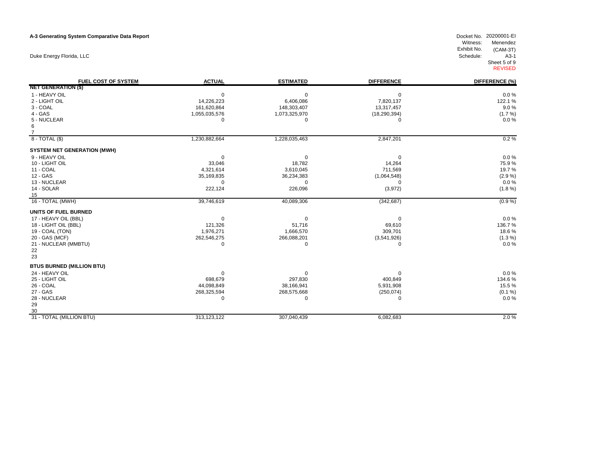### **A-3 Generating System Comparative Data Report**

Duke Energy Florida, LLC

| 1 - HEAVY OIL<br>$0.0 \%$<br>$\Omega$<br>$\mathbf 0$<br>$\Omega$<br>2 - LIGHT OIL<br>14,226,223<br>122.1 %<br>6,406,086<br>7,820,137<br>3 - COAL<br>9.0%<br>161,620,864<br>148,303,407<br>13,317,457<br>$4 - GAS$<br>1,055,035,576<br>(18, 290, 394)<br>$(1.7\%)$<br>1,073,325,970<br>5 - NUCLEAR<br>0.0%<br>$\mathbf 0$<br>$\Omega$<br>$\Omega$<br>6<br>$\overline{7}$<br>$8 - TOTAL(S)$<br>0.2%<br>1,230,882,664<br>1,228,035,463<br>2,847,201<br><b>SYSTEM NET GENERATION (MWH)</b><br>$0.0 \%$<br>9 - HEAVY OIL<br>$\mathbf 0$<br>$\Omega$<br>10 - LIGHT OIL<br>75.9%<br>33,046<br>18,782<br>14,264<br>11 - COAL<br>4,321,614<br>711,569<br>19.7%<br>3,610,045<br>12 - GAS<br>35,169,835<br>36,234,383<br>(1,064,548)<br>$(2.9\%)$<br>13 - NUCLEAR<br>$0.0 \%$<br>$\Omega$<br>$\Omega$<br>$\Omega$<br>14 - SOLAR<br>222,124<br>226,096<br>(3,972)<br>$(1.8\%)$<br>15<br>16 - TOTAL (MWH)<br>40,089,306<br>39,746,619<br>(342, 687)<br>$(0.9\%)$<br>UNITS OF FUEL BURNED<br>17 - HEAVY OIL (BBL)<br>0.0%<br>$\Omega$<br>$\mathbf 0$<br>$\Omega$<br>18 - LIGHT OIL (BBL)<br>121,326<br>51,716<br>136.7%<br>69,610<br>1,976,271<br>19 - COAL (TON)<br>1,666,570<br>309,701<br>18.6%<br>20 - GAS (MCF)<br>262,546,275<br>$(1.3\%)$<br>266,088,201<br>(3,541,926)<br>$0.0 \%$<br>21 - NUCLEAR (MMBTU)<br>$\Omega$<br>0<br>$\Omega$<br>22<br>23<br><b>BTUS BURNED (MILLION BTU)</b><br>24 - HEAVY OIL<br>0.0%<br>$\Omega$<br>$\Omega$<br>25 - LIGHT OIL<br>698,679<br>297,830<br>400,849<br>134.6%<br>26 - COAL<br>44,098,849<br>15.5%<br>38,166,941<br>5,931,908<br>27 - GAS<br>268,325,594<br>268,575,668<br>(250, 074)<br>(0.1 %)<br>0.0%<br>28 - NUCLEAR<br>$\mathbf 0$<br>$\Omega$<br>$\Omega$<br>29<br>30<br>2.0%<br>31 - TOTAL (MILLION BTU)<br>313,123,122<br>307,040,439<br>6,082,683 | <b>FUEL COST OF SYSTEM</b> | <b>ACTUAL</b> | <b>ESTIMATED</b> | <b>DIFFERENCE</b> | DIFFERENCE (%) |
|----------------------------------------------------------------------------------------------------------------------------------------------------------------------------------------------------------------------------------------------------------------------------------------------------------------------------------------------------------------------------------------------------------------------------------------------------------------------------------------------------------------------------------------------------------------------------------------------------------------------------------------------------------------------------------------------------------------------------------------------------------------------------------------------------------------------------------------------------------------------------------------------------------------------------------------------------------------------------------------------------------------------------------------------------------------------------------------------------------------------------------------------------------------------------------------------------------------------------------------------------------------------------------------------------------------------------------------------------------------------------------------------------------------------------------------------------------------------------------------------------------------------------------------------------------------------------------------------------------------------------------------------------------------------------------------------------------------------------------------------------------------------------------------------|----------------------------|---------------|------------------|-------------------|----------------|
|                                                                                                                                                                                                                                                                                                                                                                                                                                                                                                                                                                                                                                                                                                                                                                                                                                                                                                                                                                                                                                                                                                                                                                                                                                                                                                                                                                                                                                                                                                                                                                                                                                                                                                                                                                                              | <b>NET GENERATION (\$)</b> |               |                  |                   |                |
|                                                                                                                                                                                                                                                                                                                                                                                                                                                                                                                                                                                                                                                                                                                                                                                                                                                                                                                                                                                                                                                                                                                                                                                                                                                                                                                                                                                                                                                                                                                                                                                                                                                                                                                                                                                              |                            |               |                  |                   |                |
|                                                                                                                                                                                                                                                                                                                                                                                                                                                                                                                                                                                                                                                                                                                                                                                                                                                                                                                                                                                                                                                                                                                                                                                                                                                                                                                                                                                                                                                                                                                                                                                                                                                                                                                                                                                              |                            |               |                  |                   |                |
|                                                                                                                                                                                                                                                                                                                                                                                                                                                                                                                                                                                                                                                                                                                                                                                                                                                                                                                                                                                                                                                                                                                                                                                                                                                                                                                                                                                                                                                                                                                                                                                                                                                                                                                                                                                              |                            |               |                  |                   |                |
|                                                                                                                                                                                                                                                                                                                                                                                                                                                                                                                                                                                                                                                                                                                                                                                                                                                                                                                                                                                                                                                                                                                                                                                                                                                                                                                                                                                                                                                                                                                                                                                                                                                                                                                                                                                              |                            |               |                  |                   |                |
|                                                                                                                                                                                                                                                                                                                                                                                                                                                                                                                                                                                                                                                                                                                                                                                                                                                                                                                                                                                                                                                                                                                                                                                                                                                                                                                                                                                                                                                                                                                                                                                                                                                                                                                                                                                              |                            |               |                  |                   |                |
|                                                                                                                                                                                                                                                                                                                                                                                                                                                                                                                                                                                                                                                                                                                                                                                                                                                                                                                                                                                                                                                                                                                                                                                                                                                                                                                                                                                                                                                                                                                                                                                                                                                                                                                                                                                              |                            |               |                  |                   |                |
|                                                                                                                                                                                                                                                                                                                                                                                                                                                                                                                                                                                                                                                                                                                                                                                                                                                                                                                                                                                                                                                                                                                                                                                                                                                                                                                                                                                                                                                                                                                                                                                                                                                                                                                                                                                              |                            |               |                  |                   |                |
|                                                                                                                                                                                                                                                                                                                                                                                                                                                                                                                                                                                                                                                                                                                                                                                                                                                                                                                                                                                                                                                                                                                                                                                                                                                                                                                                                                                                                                                                                                                                                                                                                                                                                                                                                                                              |                            |               |                  |                   |                |
|                                                                                                                                                                                                                                                                                                                                                                                                                                                                                                                                                                                                                                                                                                                                                                                                                                                                                                                                                                                                                                                                                                                                                                                                                                                                                                                                                                                                                                                                                                                                                                                                                                                                                                                                                                                              |                            |               |                  |                   |                |
|                                                                                                                                                                                                                                                                                                                                                                                                                                                                                                                                                                                                                                                                                                                                                                                                                                                                                                                                                                                                                                                                                                                                                                                                                                                                                                                                                                                                                                                                                                                                                                                                                                                                                                                                                                                              |                            |               |                  |                   |                |
|                                                                                                                                                                                                                                                                                                                                                                                                                                                                                                                                                                                                                                                                                                                                                                                                                                                                                                                                                                                                                                                                                                                                                                                                                                                                                                                                                                                                                                                                                                                                                                                                                                                                                                                                                                                              |                            |               |                  |                   |                |
|                                                                                                                                                                                                                                                                                                                                                                                                                                                                                                                                                                                                                                                                                                                                                                                                                                                                                                                                                                                                                                                                                                                                                                                                                                                                                                                                                                                                                                                                                                                                                                                                                                                                                                                                                                                              |                            |               |                  |                   |                |
|                                                                                                                                                                                                                                                                                                                                                                                                                                                                                                                                                                                                                                                                                                                                                                                                                                                                                                                                                                                                                                                                                                                                                                                                                                                                                                                                                                                                                                                                                                                                                                                                                                                                                                                                                                                              |                            |               |                  |                   |                |
|                                                                                                                                                                                                                                                                                                                                                                                                                                                                                                                                                                                                                                                                                                                                                                                                                                                                                                                                                                                                                                                                                                                                                                                                                                                                                                                                                                                                                                                                                                                                                                                                                                                                                                                                                                                              |                            |               |                  |                   |                |
|                                                                                                                                                                                                                                                                                                                                                                                                                                                                                                                                                                                                                                                                                                                                                                                                                                                                                                                                                                                                                                                                                                                                                                                                                                                                                                                                                                                                                                                                                                                                                                                                                                                                                                                                                                                              |                            |               |                  |                   |                |
|                                                                                                                                                                                                                                                                                                                                                                                                                                                                                                                                                                                                                                                                                                                                                                                                                                                                                                                                                                                                                                                                                                                                                                                                                                                                                                                                                                                                                                                                                                                                                                                                                                                                                                                                                                                              |                            |               |                  |                   |                |
|                                                                                                                                                                                                                                                                                                                                                                                                                                                                                                                                                                                                                                                                                                                                                                                                                                                                                                                                                                                                                                                                                                                                                                                                                                                                                                                                                                                                                                                                                                                                                                                                                                                                                                                                                                                              |                            |               |                  |                   |                |
|                                                                                                                                                                                                                                                                                                                                                                                                                                                                                                                                                                                                                                                                                                                                                                                                                                                                                                                                                                                                                                                                                                                                                                                                                                                                                                                                                                                                                                                                                                                                                                                                                                                                                                                                                                                              |                            |               |                  |                   |                |
|                                                                                                                                                                                                                                                                                                                                                                                                                                                                                                                                                                                                                                                                                                                                                                                                                                                                                                                                                                                                                                                                                                                                                                                                                                                                                                                                                                                                                                                                                                                                                                                                                                                                                                                                                                                              |                            |               |                  |                   |                |
|                                                                                                                                                                                                                                                                                                                                                                                                                                                                                                                                                                                                                                                                                                                                                                                                                                                                                                                                                                                                                                                                                                                                                                                                                                                                                                                                                                                                                                                                                                                                                                                                                                                                                                                                                                                              |                            |               |                  |                   |                |
|                                                                                                                                                                                                                                                                                                                                                                                                                                                                                                                                                                                                                                                                                                                                                                                                                                                                                                                                                                                                                                                                                                                                                                                                                                                                                                                                                                                                                                                                                                                                                                                                                                                                                                                                                                                              |                            |               |                  |                   |                |
|                                                                                                                                                                                                                                                                                                                                                                                                                                                                                                                                                                                                                                                                                                                                                                                                                                                                                                                                                                                                                                                                                                                                                                                                                                                                                                                                                                                                                                                                                                                                                                                                                                                                                                                                                                                              |                            |               |                  |                   |                |
|                                                                                                                                                                                                                                                                                                                                                                                                                                                                                                                                                                                                                                                                                                                                                                                                                                                                                                                                                                                                                                                                                                                                                                                                                                                                                                                                                                                                                                                                                                                                                                                                                                                                                                                                                                                              |                            |               |                  |                   |                |
|                                                                                                                                                                                                                                                                                                                                                                                                                                                                                                                                                                                                                                                                                                                                                                                                                                                                                                                                                                                                                                                                                                                                                                                                                                                                                                                                                                                                                                                                                                                                                                                                                                                                                                                                                                                              |                            |               |                  |                   |                |
|                                                                                                                                                                                                                                                                                                                                                                                                                                                                                                                                                                                                                                                                                                                                                                                                                                                                                                                                                                                                                                                                                                                                                                                                                                                                                                                                                                                                                                                                                                                                                                                                                                                                                                                                                                                              |                            |               |                  |                   |                |
|                                                                                                                                                                                                                                                                                                                                                                                                                                                                                                                                                                                                                                                                                                                                                                                                                                                                                                                                                                                                                                                                                                                                                                                                                                                                                                                                                                                                                                                                                                                                                                                                                                                                                                                                                                                              |                            |               |                  |                   |                |
|                                                                                                                                                                                                                                                                                                                                                                                                                                                                                                                                                                                                                                                                                                                                                                                                                                                                                                                                                                                                                                                                                                                                                                                                                                                                                                                                                                                                                                                                                                                                                                                                                                                                                                                                                                                              |                            |               |                  |                   |                |
|                                                                                                                                                                                                                                                                                                                                                                                                                                                                                                                                                                                                                                                                                                                                                                                                                                                                                                                                                                                                                                                                                                                                                                                                                                                                                                                                                                                                                                                                                                                                                                                                                                                                                                                                                                                              |                            |               |                  |                   |                |
|                                                                                                                                                                                                                                                                                                                                                                                                                                                                                                                                                                                                                                                                                                                                                                                                                                                                                                                                                                                                                                                                                                                                                                                                                                                                                                                                                                                                                                                                                                                                                                                                                                                                                                                                                                                              |                            |               |                  |                   |                |
|                                                                                                                                                                                                                                                                                                                                                                                                                                                                                                                                                                                                                                                                                                                                                                                                                                                                                                                                                                                                                                                                                                                                                                                                                                                                                                                                                                                                                                                                                                                                                                                                                                                                                                                                                                                              |                            |               |                  |                   |                |
|                                                                                                                                                                                                                                                                                                                                                                                                                                                                                                                                                                                                                                                                                                                                                                                                                                                                                                                                                                                                                                                                                                                                                                                                                                                                                                                                                                                                                                                                                                                                                                                                                                                                                                                                                                                              |                            |               |                  |                   |                |
|                                                                                                                                                                                                                                                                                                                                                                                                                                                                                                                                                                                                                                                                                                                                                                                                                                                                                                                                                                                                                                                                                                                                                                                                                                                                                                                                                                                                                                                                                                                                                                                                                                                                                                                                                                                              |                            |               |                  |                   |                |
|                                                                                                                                                                                                                                                                                                                                                                                                                                                                                                                                                                                                                                                                                                                                                                                                                                                                                                                                                                                                                                                                                                                                                                                                                                                                                                                                                                                                                                                                                                                                                                                                                                                                                                                                                                                              |                            |               |                  |                   |                |
|                                                                                                                                                                                                                                                                                                                                                                                                                                                                                                                                                                                                                                                                                                                                                                                                                                                                                                                                                                                                                                                                                                                                                                                                                                                                                                                                                                                                                                                                                                                                                                                                                                                                                                                                                                                              |                            |               |                  |                   |                |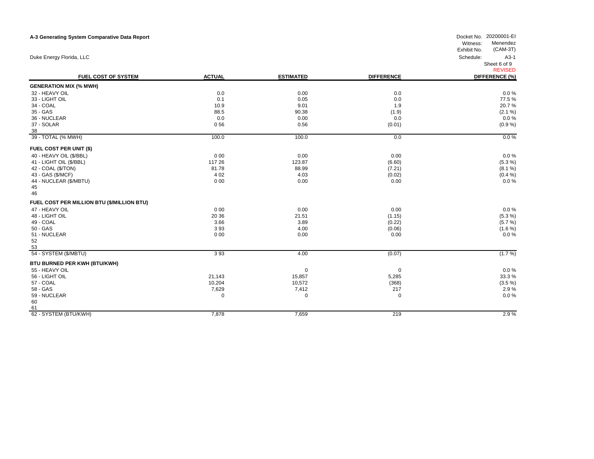| A-3 Generating System Comparative Data Report |               |                  |                   | Docket No. 20200001-EI<br>Witness:<br>Menendez<br>Exhibit No.<br>$(CAM-3T)$ |
|-----------------------------------------------|---------------|------------------|-------------------|-----------------------------------------------------------------------------|
| Duke Energy Florida, LLC                      |               |                  |                   | Schedule:<br>$A3-1$<br>Sheet 6 of 9                                         |
| FUEL COST OF SYSTEM                           | <b>ACTUAL</b> | <b>ESTIMATED</b> | <b>DIFFERENCE</b> | <b>REVISED</b><br>DIFFERENCE (%)                                            |
| <b>GENERATION MIX (% MWH)</b>                 |               |                  |                   |                                                                             |
| 32 - HEAVY OIL                                | 0.0           | 0.00             | 0.0               | $0.0 \%$                                                                    |
| 33 - LIGHT OIL                                | 0.1           | 0.05             | 0.0               | 77.5%                                                                       |
| 34 - COAL                                     | 10.9          | 9.01             | 1.9               | 20.7%                                                                       |
| 35 - GAS                                      | 88.5          | 90.38            | (1.9)             | (2.1 %)                                                                     |
| 36 - NUCLEAR                                  | 0.0           | 0.00             | 0.0               | $0.0 \%$                                                                    |
| 37 - SOLAR                                    | 056           | 0.56             | (0.01)            | (0.9 %)                                                                     |
| 38                                            |               |                  |                   |                                                                             |
| 39 - TOTAL (% MWH)                            | 100.0         | 100.0            | 0.0               | $0.0\%$                                                                     |
| FUEL COST PER UNIT (\$)                       |               |                  |                   |                                                                             |
| 40 - HEAVY OIL (\$/BBL)                       | 0 0 0         | 0.00             | 0.00              | 0.0%                                                                        |
| 41 - LIGHT OIL (\$/BBL)                       | 117 26        | 123.87           | (6.60)            | (5.3 %)                                                                     |
| 42 - COAL (\$/TON)                            | 81.78         | 88.99            | (7.21)            | (8.1 %)                                                                     |
| 43 - GAS (\$/MCF)                             | 4 0 2         | 4.03             | (0.02)            | (0.4 %)                                                                     |
| 44 - NUCLEAR (\$/MBTU)                        | 000           | 0.00             | 0.00              | 0.0%                                                                        |
| 45                                            |               |                  |                   |                                                                             |
| 46                                            |               |                  |                   |                                                                             |
| FUEL COST PER MILLION BTU (\$/MILLION BTU)    |               |                  |                   |                                                                             |
| 47 - HEAVY OIL                                | 000           | 0.00             | 0.00              | 0.0%                                                                        |
| 48 - LIGHT OIL                                | 20 36         | 21.51            | (1.15)            | (5.3 %)                                                                     |
| 49 - COAL                                     | 3.66          | 3.89             | (0.22)            | (5.7 %)                                                                     |
| 50 - GAS                                      | 393           | 4.00             | (0.06)            | (1.6 %)                                                                     |
| 51 - NUCLEAR                                  | 000           | 0.00             | 0.00              | 0.0%                                                                        |
| 52                                            |               |                  |                   |                                                                             |
| 53                                            |               |                  |                   |                                                                             |
| 54 - SYSTEM (\$/MBTU)                         | 393           | 4.00             | (0.07)            | $(1.7\%)$                                                                   |
| BTU BURNED PER KWH (BTU/KWH)                  |               |                  |                   |                                                                             |
| 55 - HEAVY OIL                                |               | 0                | 0                 | 0.0%                                                                        |
| 56 - LIGHT OIL                                | 21,143        | 15,857           | 5,285             | 33.3%                                                                       |
| 57 - COAL                                     | 10,204        | 10,572           | (368)             | $(3.5\%)$                                                                   |
| 58 - GAS                                      | 7,629         | 7,412            | 217               | 2.9%                                                                        |
| 59 - NUCLEAR                                  | 0             | 0                | $\Omega$          | $0.0 \%$                                                                    |
| 60                                            |               |                  |                   |                                                                             |
| 61                                            |               |                  |                   |                                                                             |
| 62 - SYSTEM (BTU/KWH)                         | 7,878         | 7,659            | 219               | 2.9%                                                                        |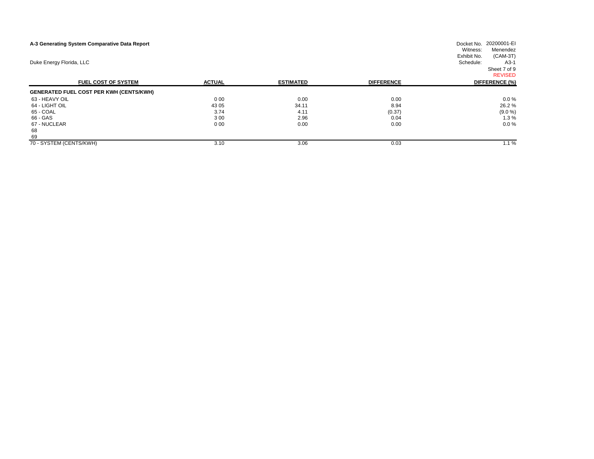| A-3 Generating System Comparative Data Report  | Docket No. 20200001-EI<br>Witness: |                  |                   |                                       |  |  |  |  |  |  |  |  |  |  |
|------------------------------------------------|------------------------------------|------------------|-------------------|---------------------------------------|--|--|--|--|--|--|--|--|--|--|
|                                                |                                    |                  |                   | Menendez<br>$(CAM-3T)$<br>Exhibit No. |  |  |  |  |  |  |  |  |  |  |
| Duke Energy Florida, LLC                       |                                    |                  |                   | Schedule:<br>$A3-1$                   |  |  |  |  |  |  |  |  |  |  |
|                                                |                                    |                  |                   | Sheet 7 of 9                          |  |  |  |  |  |  |  |  |  |  |
|                                                |                                    |                  |                   | <b>REVISED</b>                        |  |  |  |  |  |  |  |  |  |  |
| <b>FUEL COST OF SYSTEM</b>                     | <b>ACTUAL</b>                      | <b>ESTIMATED</b> | <b>DIFFERENCE</b> | DIFFERENCE (%)                        |  |  |  |  |  |  |  |  |  |  |
| <b>GENERATED FUEL COST PER KWH (CENTS/KWH)</b> |                                    |                  |                   |                                       |  |  |  |  |  |  |  |  |  |  |
| 63 - HEAVY OIL                                 | 000                                | 0.00             | 0.00              | $0.0 \%$                              |  |  |  |  |  |  |  |  |  |  |
| 64 - LIGHT OIL                                 | 43 05                              | 34.11            | 8.94              | 26.2%                                 |  |  |  |  |  |  |  |  |  |  |
| 65 - COAL                                      | 3.74                               | 4.11             | (0.37)            | (9.0 %)                               |  |  |  |  |  |  |  |  |  |  |
| 66 - GAS                                       | 3 0 0                              | 2.96             | 0.04              | 1.3%                                  |  |  |  |  |  |  |  |  |  |  |
| 67 - NUCLEAR                                   | 000                                | 0.00             | 0.00              | $0.0 \%$                              |  |  |  |  |  |  |  |  |  |  |
| 68                                             |                                    |                  |                   |                                       |  |  |  |  |  |  |  |  |  |  |
| 69                                             |                                    |                  |                   |                                       |  |  |  |  |  |  |  |  |  |  |
| 70 - SYSTEM (CENTS/KWH)                        | 3.10                               | 3.06             | 0.03              | 1.1%                                  |  |  |  |  |  |  |  |  |  |  |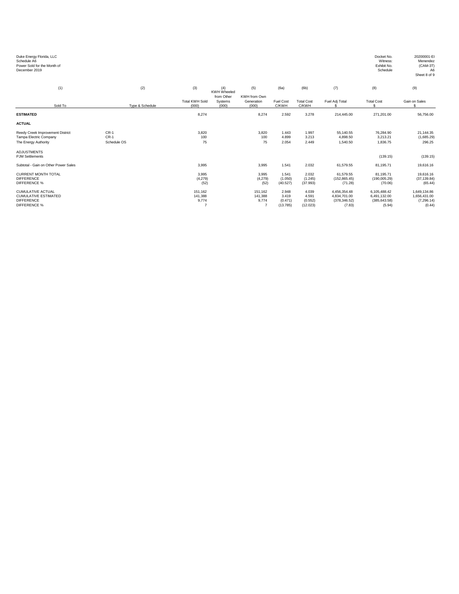| Duke Energy Florida, LLC<br>Schedule A6<br>Power Sold for the Month of<br>December 2019             |                                 |                                               |                                |                                     |                                       |                                       |                                                         | Docket No.<br>Witness:<br>Exhibit No.<br>Schedule       | 20200001-EI<br>Menendez<br>$(CAM-3T)$<br>A <sub>6</sub><br>Sheet 8 of 9 |
|-----------------------------------------------------------------------------------------------------|---------------------------------|-----------------------------------------------|--------------------------------|-------------------------------------|---------------------------------------|---------------------------------------|---------------------------------------------------------|---------------------------------------------------------|-------------------------------------------------------------------------|
| (1)                                                                                                 | (2)                             | (3)                                           | (4)<br><b>KWH Wheeled</b>      | (5)                                 | (6a)                                  | (6b)                                  | (7)                                                     | (8)                                                     | (9)                                                                     |
| Sold To                                                                                             | Type & Schedule                 | <b>Total KWH Sold</b><br>(000)                | from Other<br>Systems<br>(000) | KWH from Own<br>Generation<br>(000) | Fuel Cost<br>C/KWH                    | <b>Total Cost</b><br>C/KWH            | Fuel Adj Total                                          | <b>Total Cost</b><br>\$.                                | Gain on Sales<br>£.                                                     |
| <b>ESTIMATED</b>                                                                                    |                                 | 8.274                                         |                                | 8,274                               | 2.592                                 | 3.278                                 | 214.445.00                                              | 271.201.00                                              | 56,756.00                                                               |
| <b>ACTUAL</b>                                                                                       |                                 |                                               |                                |                                     |                                       |                                       |                                                         |                                                         |                                                                         |
| Reedy Creek Improvement District<br>Tampa Electric Company<br>The Energy Authority                  | $CR-1$<br>$CR-1$<br>Schedule OS | 3,820<br>100<br>75                            |                                | 3,820<br>100<br>75                  | 1.443<br>4.899<br>2.054               | 1.997<br>3.213<br>2.449               | 55,140.55<br>4.898.50<br>1.540.50                       | 76,284.90<br>3.213.21<br>1,836.75                       | 21,144.35<br>(1,685.29)<br>296.25                                       |
| <b>ADJUSTMENTS</b><br><b>PJM Settlements</b>                                                        |                                 |                                               |                                |                                     |                                       |                                       |                                                         | (139.15)                                                | (139.15)                                                                |
| Subtotal - Gain on Other Power Sales                                                                |                                 | 3,995                                         |                                | 3,995                               | 1.541                                 | 2.032                                 | 61,579.55                                               | 81,195.71                                               | 19,616.16                                                               |
| <b>CURRENT MONTH TOTAL</b><br><b>DIFFERENCE</b><br><b>DIFFERENCE %</b>                              |                                 | 3.995<br>(4,279)<br>(52)                      |                                | 3.995<br>(4,279)<br>(52)            | 1.541<br>(1.050)<br>(40.527)          | 2.032<br>(1.245)<br>(37.993)          | 61.579.55<br>(152, 865.45)<br>(71.28)                   | 81.195.71<br>(190,005.29)<br>(70.06)                    | 19.616.16<br>(37, 139.84)<br>(65.44)                                    |
| <b>CUMULATIVE ACTUAL</b><br><b>CUMULATIVE ESTIMATED</b><br><b>DIFFERENCE</b><br><b>DIFFERENCE %</b> |                                 | 151.162<br>141,388<br>9,774<br>$\overline{7}$ |                                | 151.162<br>141,388<br>9,774<br>7    | 2.948<br>3.419<br>(0.471)<br>(13.785) | 4.039<br>4.591<br>(0.552)<br>(12.023) | 4.456.354.48<br>4,834,701.00<br>(378, 346.52)<br>(7.83) | 6,105,488.42<br>6,491,132.00<br>(385, 643.58)<br>(5.94) | 1,649,134.86<br>1,656,431.00<br>(7, 296.14)<br>(0.44)                   |